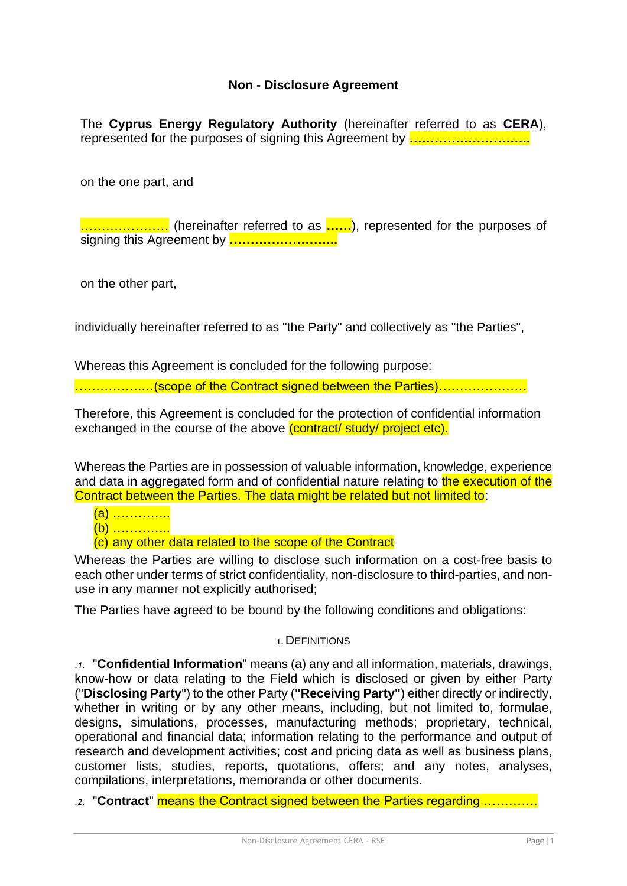## **Non - Disclosure Agreement**

The **Cyprus Energy Regulatory Authority** (hereinafter referred to as **CERA**), represented for the purposes of signing this Agreement by **………………………..**

on the one part, and

………………… (hereinafter referred to as **……**), represented for the purposes of signing this Agreement by **……………………..**

on the other part,

individually hereinafter referred to as "the Party" and collectively as "the Parties",

Whereas this Agreement is concluded for the following purpose:

…………….…(scope of the Contract signed between the Parties)…………………

Therefore, this Agreement is concluded for the protection of confidential information exchanged in the course of the above (contract/ study/ project etc).

Whereas the Parties are in possession of valuable information, knowledge, experience and data in aggregated form and of confidential nature relating to the execution of the Contract between the Parties. The data might be related but not limited to:

- (a) …………..
- (b) …………..

(c) any other data related to the scope of the Contract

Whereas the Parties are willing to disclose such information on a cost-free basis to each other under terms of strict confidentiality, non-disclosure to third-parties, and nonuse in any manner not explicitly authorised;

The Parties have agreed to be bound by the following conditions and obligations:

#### 1.DEFINITIONS

*.1.* "**Confidential Information**" means (a) any and all information, materials, drawings, know-how or data relating to the Field which is disclosed or given by either Party ("**Disclosing Party**") to the other Party (**"Receiving Party"**) either directly or indirectly, whether in writing or by any other means, including, but not limited to, formulae, designs, simulations, processes, manufacturing methods; proprietary, technical, operational and financial data; information relating to the performance and output of research and development activities; cost and pricing data as well as business plans, customer lists, studies, reports, quotations, offers; and any notes, analyses, compilations, interpretations, memoranda or other documents.

*.2.* "**Contract**" means the Contract signed between the Parties regarding ………….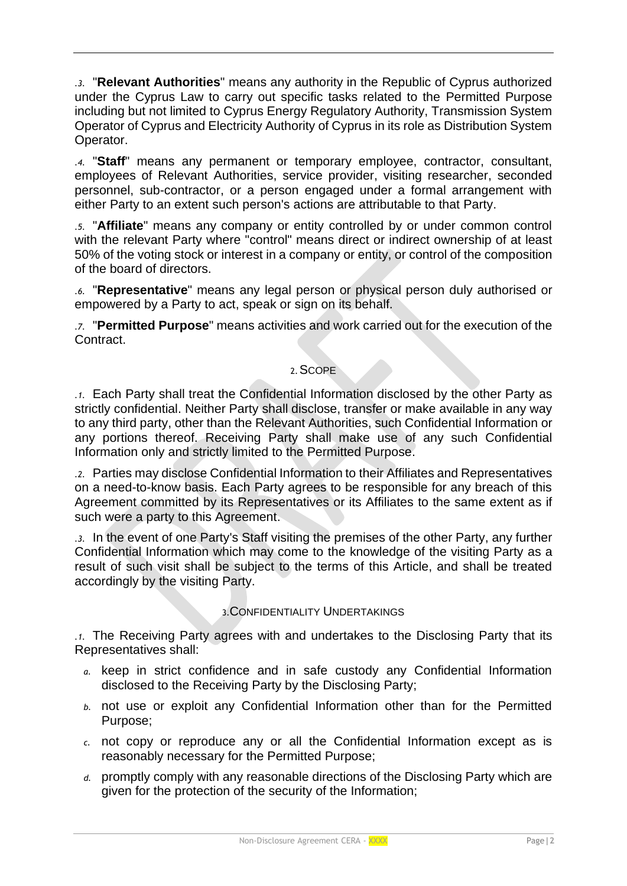*.3.* "**Relevant Authorities**" means any authority in the Republic of Cyprus authorized under the Cyprus Law to carry out specific tasks related to the Permitted Purpose including but not limited to Cyprus Energy Regulatory Authority, Transmission System Operator of Cyprus and Electricity Authority of Cyprus in its role as Distribution System Operator.

*.4.* "**Staff**" means any permanent or temporary employee, contractor, consultant, employees of Relevant Authorities, service provider, visiting researcher, seconded personnel, sub-contractor, or a person engaged under a formal arrangement with either Party to an extent such person's actions are attributable to that Party.

*.5.* "**Affiliate**" means any company or entity controlled by or under common control with the relevant Party where "control" means direct or indirect ownership of at least 50% of the voting stock or interest in a company or entity, or control of the composition of the board of directors.

*.6.* "**Representative**" means any legal person or physical person duly authorised or empowered by a Party to act, speak or sign on its behalf.

*.7.* "**Permitted Purpose**" means activities and work carried out for the execution of the Contract.

#### 2.SCOPE

*.1.* Each Party shall treat the Confidential Information disclosed by the other Party as strictly confidential. Neither Party shall disclose, transfer or make available in any way to any third party, other than the Relevant Authorities, such Confidential Information or any portions thereof. Receiving Party shall make use of any such Confidential Information only and strictly limited to the Permitted Purpose.

*.2.* Parties may disclose Confidential Information to their Affiliates and Representatives on a need-to-know basis. Each Party agrees to be responsible for any breach of this Agreement committed by its Representatives or its Affiliates to the same extent as if such were a party to this Agreement.

*.3.* In the event of one Party's Staff visiting the premises of the other Party, any further Confidential Information which may come to the knowledge of the visiting Party as a result of such visit shall be subject to the terms of this Article, and shall be treated accordingly by the visiting Party.

# 3.CONFIDENTIALITY UNDERTAKINGS

*.1.* The Receiving Party agrees with and undertakes to the Disclosing Party that its Representatives shall:

- *a.* keep in strict confidence and in safe custody any Confidential Information disclosed to the Receiving Party by the Disclosing Party;
- *b.* not use or exploit any Confidential Information other than for the Permitted Purpose;
- *c.* not copy or reproduce any or all the Confidential Information except as is reasonably necessary for the Permitted Purpose;
- *d.* promptly comply with any reasonable directions of the Disclosing Party which are given for the protection of the security of the Information;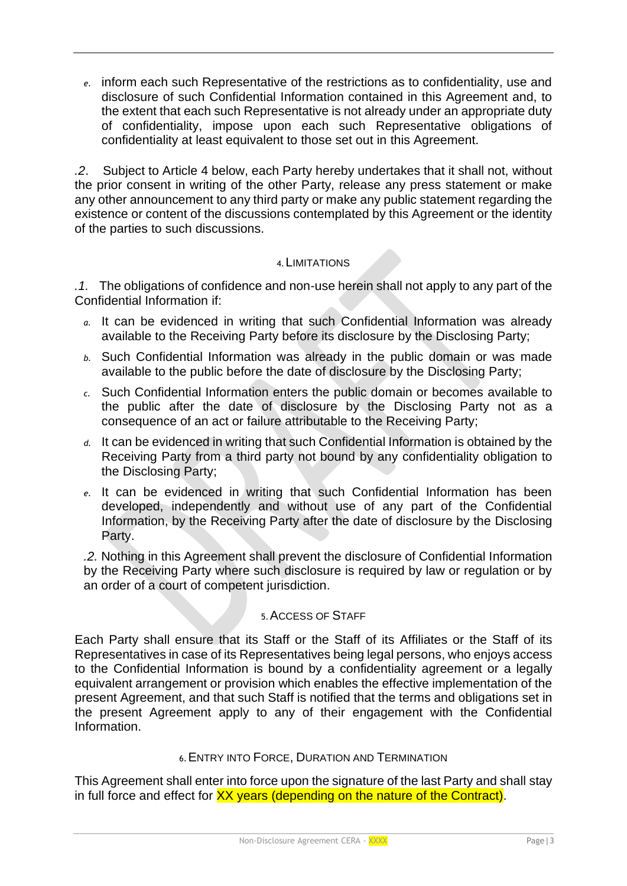*e.* inform each such Representative of the restrictions as to confidentiality, use and disclosure of such Confidential Information contained in this Agreement and, to the extent that each such Representative is not already under an appropriate duty of confidentiality, impose upon each such Representative obligations of confidentiality at least equivalent to those set out in this Agreement.

*.2*. Subject to Article 4 below, each Party hereby undertakes that it shall not, without the prior consent in writing of the other Party, release any press statement or make any other announcement to any third party or make any public statement regarding the existence or content of the discussions contemplated by this Agreement or the identity of the parties to such discussions.

### 4.LIMITATIONS

*.1.* The obligations of confidence and non-use herein shall not apply to any part of the Confidential Information if:

- *a.* It can be evidenced in writing that such Confidential Information was already available to the Receiving Party before its disclosure by the Disclosing Party;
- *b.* Such Confidential Information was already in the public domain or was made available to the public before the date of disclosure by the Disclosing Party;
- *c.* Such Confidential Information enters the public domain or becomes available to the public after the date of disclosure by the Disclosing Party not as a consequence of an act or failure attributable to the Receiving Party;
- *d.* It can be evidenced in writing that such Confidential Information is obtained by the Receiving Party from a third party not bound by any confidentiality obligation to the Disclosing Party;
- *e.* It can be evidenced in writing that such Confidential Information has been developed, independently and without use of any part of the Confidential Information, by the Receiving Party after the date of disclosure by the Disclosing Party.

*.2.* Nothing in this Agreement shall prevent the disclosure of Confidential Information by the Receiving Party where such disclosure is required by law or regulation or by an order of a court of competent jurisdiction.

# 5.ACCESS OF STAFF

Each Party shall ensure that its Staff or the Staff of its Affiliates or the Staff of its Representatives in case of its Representatives being legal persons, who enjoys access to the Confidential Information is bound by a confidentiality agreement or a legally equivalent arrangement or provision which enables the effective implementation of the present Agreement, and that such Staff is notified that the terms and obligations set in the present Agreement apply to any of their engagement with the Confidential Information.

#### 6.ENTRY INTO FORCE, DURATION AND TERMINATION

This Agreement shall enter into force upon the signature of the last Party and shall stay in full force and effect for XX years (depending on the nature of the Contract).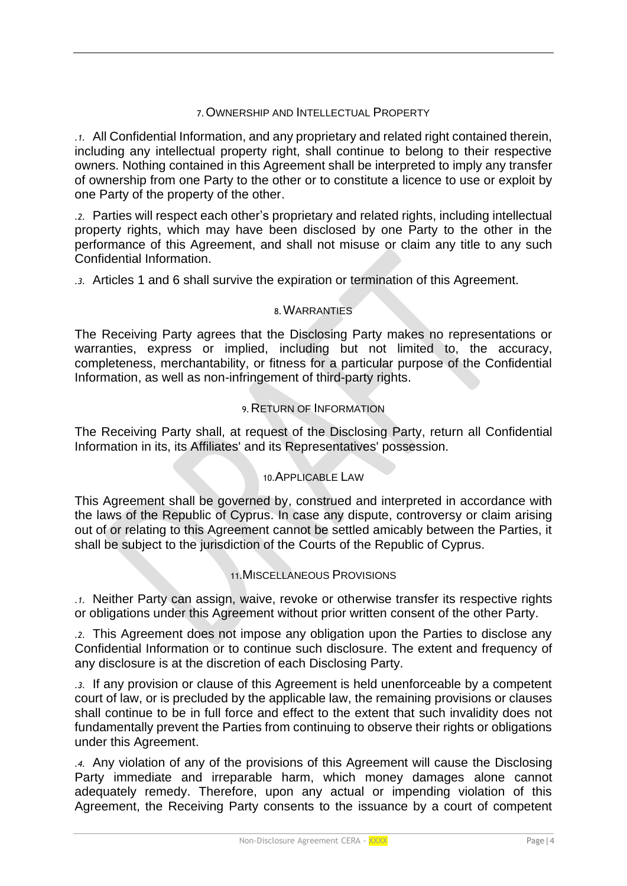#### 7.OWNERSHIP AND INTELLECTUAL PROPERTY

*.1.* All Confidential Information, and any proprietary and related right contained therein, including any intellectual property right, shall continue to belong to their respective owners. Nothing contained in this Agreement shall be interpreted to imply any transfer of ownership from one Party to the other or to constitute a licence to use or exploit by one Party of the property of the other.

*.2.* Parties will respect each other's proprietary and related rights, including intellectual property rights, which may have been disclosed by one Party to the other in the performance of this Agreement, and shall not misuse or claim any title to any such Confidential Information.

*.3.* Articles 1 and 6 shall survive the expiration or termination of this Agreement.

#### 8.WARRANTIES

The Receiving Party agrees that the Disclosing Party makes no representations or warranties, express or implied, including but not limited to, the accuracy, completeness, merchantability, or fitness for a particular purpose of the Confidential Information, as well as non-infringement of third-party rights.

#### 9.RETURN OF INFORMATION

The Receiving Party shall, at request of the Disclosing Party, return all Confidential Information in its, its Affiliates' and its Representatives' possession.

#### 10.APPLICABLE LAW

This Agreement shall be governed by, construed and interpreted in accordance with the laws of the Republic of Cyprus. In case any dispute, controversy or claim arising out of or relating to this Agreement cannot be settled amicably between the Parties, it shall be subject to the jurisdiction of the Courts of the Republic of Cyprus.

#### 11.MISCELLANEOUS PROVISIONS

*.1.* Neither Party can assign, waive, revoke or otherwise transfer its respective rights or obligations under this Agreement without prior written consent of the other Party.

*.2.* This Agreement does not impose any obligation upon the Parties to disclose any Confidential Information or to continue such disclosure. The extent and frequency of any disclosure is at the discretion of each Disclosing Party.

*.3.* If any provision or clause of this Agreement is held unenforceable by a competent court of law, or is precluded by the applicable law, the remaining provisions or clauses shall continue to be in full force and effect to the extent that such invalidity does not fundamentally prevent the Parties from continuing to observe their rights or obligations under this Agreement.

*.4.* Any violation of any of the provisions of this Agreement will cause the Disclosing Party immediate and irreparable harm, which money damages alone cannot adequately remedy. Therefore, upon any actual or impending violation of this Agreement, the Receiving Party consents to the issuance by a court of competent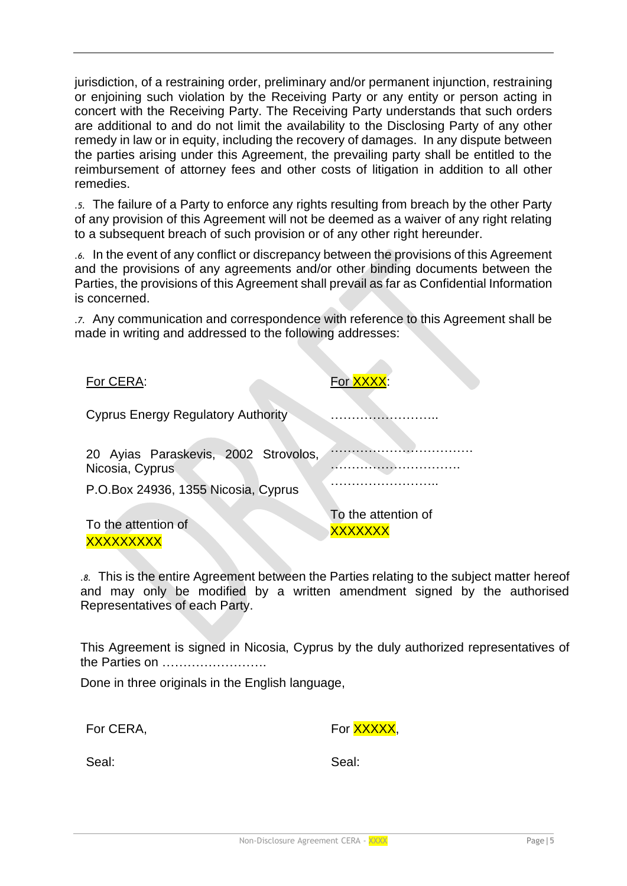jurisdiction, of a restraining order, preliminary and/or permanent injunction, restraining or enjoining such violation by the Receiving Party or any entity or person acting in concert with the Receiving Party. The Receiving Party understands that such orders are additional to and do not limit the availability to the Disclosing Party of any other remedy in law or in equity, including the recovery of damages. In any dispute between the parties arising under this Agreement, the prevailing party shall be entitled to the reimbursement of attorney fees and other costs of litigation in addition to all other remedies.

*.5.* The failure of a Party to enforce any rights resulting from breach by the other Party of any provision of this Agreement will not be deemed as a waiver of any right relating to a subsequent breach of such provision or of any other right hereunder.

*.6.* In the event of any conflict or discrepancy between the provisions of this Agreement and the provisions of any agreements and/or other binding documents between the Parties, the provisions of this Agreement shall prevail as far as Confidential Information is concerned.

*.7.* Any communication and correspondence with reference to this Agreement shall be made in writing and addressed to the following addresses:

| For CERA:                                                                                      | For <b>XXXX:</b>                      |
|------------------------------------------------------------------------------------------------|---------------------------------------|
| <b>Cyprus Energy Regulatory Authority</b>                                                      |                                       |
| 20 Ayias Paraskevis, 2002 Strovolos,<br>Nicosia, Cyprus<br>P.O.Box 24936, 1355 Nicosia, Cyprus |                                       |
| To the attention of<br><b>XXXXXX</b>                                                           | To the attention of<br><b>XXXXXXX</b> |

*.8.* This is the entire Agreement between the Parties relating to the subject matter hereof and may only be modified by a written amendment signed by the authorised Representatives of each Party.

This Agreement is signed in Nicosia, Cyprus by the duly authorized representatives of the Parties on …………………….

Done in three originals in the English language,

For CERA,

For **XXXXX** 

Seal:

Seal: